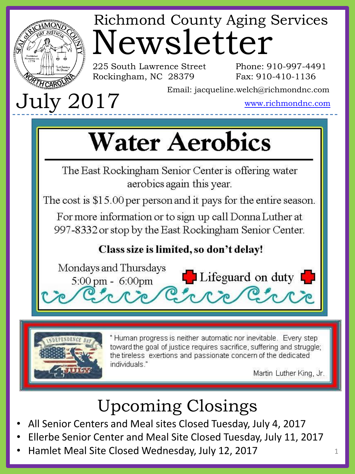

# Newsletter Richmond County Aging Services

225 South Lawrence Street Rockingham, NC 28379

Phone: 910-997-4491 Fax: 910-410-1136

Email: jacqueline.welch@richmondnc.com

www.richmondnc.com

# **Water Aerobics**

The East Rockingham Senior Center is offering water aerobics again this year.

The cost is \$15.00 per person and it pays for the entire season.

For more information or to sign up call Donna Luther at 997-8332 or stop by the East Rockingham Senior Center.

### Class size is limited, so don't delay!





" Human progress is neither automatic nor inevitable. Every step toward the goal of justice requires sacrifice, suffering and struggle; the tireless exertions and passionate concern of the dedicated individuals."

Martin Luther King, Jr.

# Upcoming Closings

- All Senior Centers and Meal sites Closed Tuesday, July 4, 2017
- Ellerbe Senior Center and Meal Site Closed Tuesday, July 11, 2017
- Hamlet Meal Site Closed Wednesday, July 12, 2017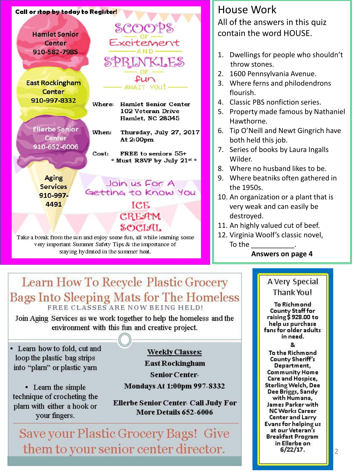

Take a break from the sun and enjoy some fun, all while learning some very important Summer Safety Tips & the importance of staying hydrated in the summer heat.

### House Work All of the answers in this quiz contain the word HOUSE.

- 1. Dwellings for people who shouldn't throw stones.
- 2. 1600 Pennsylvania Avenue.
- 3. Where ferns and philodendrons flourish.
- 4. Classic PBS nonfiction series.
- 5. Property made famous by Nathaniel Hawthorne.
- 6. Tip O'Neill and Newt Gingrich have both held this job.
- 7. Series of books by Laura Ingalls Wilder.
- 8. Where no husband likes to be.
- 9. Where beatniks often gathered in the 1950s.
- 10. An organization or a plant that is very weak and can easily be destroyed.
- 11. An highly valued cut of beef.
- 12. Virginia Woolf's classic novel, To the  $\blacksquare$

#### **Answers on page 4**

## Learn How To Recycle Plastic Grocery Bags Into Sleeping Mats for The Homeless

Join Aging Services as we work together to help the homeless and the environment with this fun and creative project.

• Learn how to fold, cut and loop the plastic bag strips into "plarn" or plastic yarn

• Learn the simple technique of crocheting the plarn with either a hook or your fingers.

**Weekly Classes: East Rockingham** 

**Senior Center-Mondays At 1:00pm 997-8332** 

**Ellerbe Senior Center- Call Judy For** More Details 652-6006

Save your Plastic Grocery Bags! Give them to your senior center director.

### A Very Special Thank You!

**To Richmond County Staff for** raising \$ 928.00 to help us purchase fans for older adults in need.

Ω.

To the Richmond **County Sheriff's** Department, **Community Home** Care and Hospice, Sterling Welch, Dee Dee Briggs, Sandy with Humana, James Parker with **NC Works Career** Center and Larry Evans for helping us at our Veteran's **Breakfast Program** in Ellerbe on  $6/22/17$ .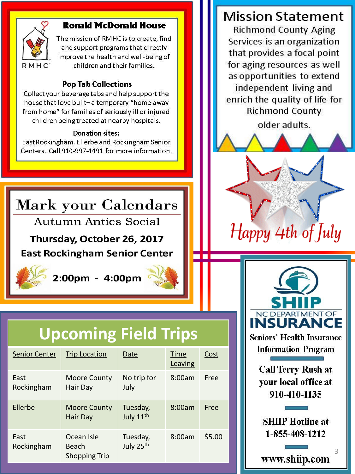